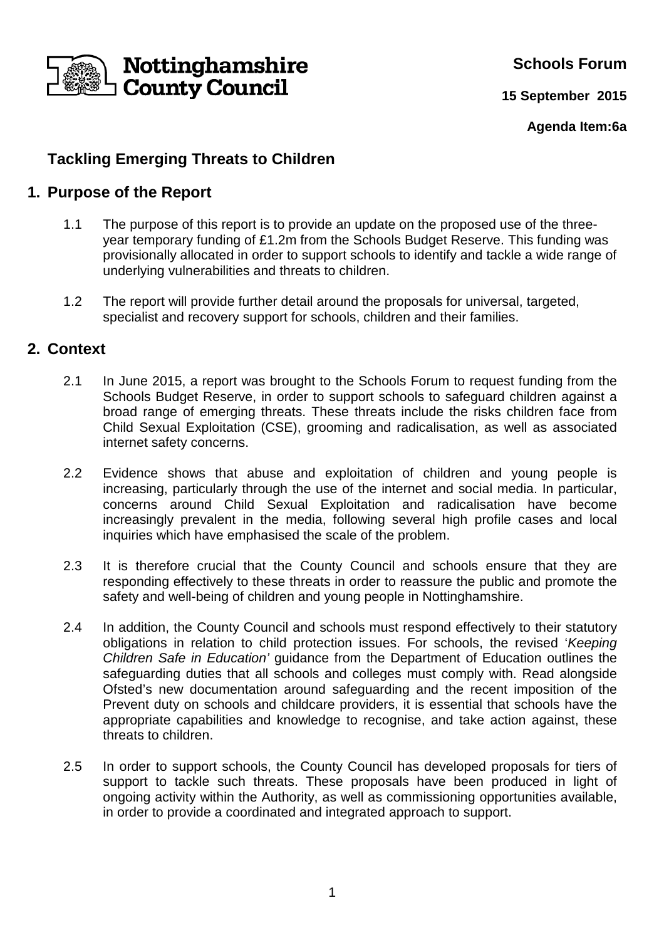

**Schools Forum**

**15 September 2015**

**Agenda Item:6a**

# **Tackling Emerging Threats to Children**

#### **1. Purpose of the Report**

- 1.1 The purpose of this report is to provide an update on the proposed use of the threeyear temporary funding of £1.2m from the Schools Budget Reserve. This funding was provisionally allocated in order to support schools to identify and tackle a wide range of underlying vulnerabilities and threats to children.
- 1.2 The report will provide further detail around the proposals for universal, targeted, specialist and recovery support for schools, children and their families.

#### **2. Context**

- 2.1 In June 2015, a report was brought to the Schools Forum to request funding from the Schools Budget Reserve, in order to support schools to safeguard children against a broad range of emerging threats. These threats include the risks children face from Child Sexual Exploitation (CSE), grooming and radicalisation, as well as associated internet safety concerns.
- 2.2 Evidence shows that abuse and exploitation of children and young people is increasing, particularly through the use of the internet and social media. In particular, concerns around Child Sexual Exploitation and radicalisation have become increasingly prevalent in the media, following several high profile cases and local inquiries which have emphasised the scale of the problem.
- 2.3 It is therefore crucial that the County Council and schools ensure that they are responding effectively to these threats in order to reassure the public and promote the safety and well-being of children and young people in Nottinghamshire.
- 2.4 In addition, the County Council and schools must respond effectively to their statutory obligations in relation to child protection issues. For schools, the revised 'Keeping Children Safe in Education' guidance from the Department of Education outlines the safeguarding duties that all schools and colleges must comply with. Read alongside Ofsted's new documentation around safeguarding and the recent imposition of the Prevent duty on schools and childcare providers, it is essential that schools have the appropriate capabilities and knowledge to recognise, and take action against, these threats to children.
- 2.5 In order to support schools, the County Council has developed proposals for tiers of support to tackle such threats. These proposals have been produced in light of ongoing activity within the Authority, as well as commissioning opportunities available, in order to provide a coordinated and integrated approach to support.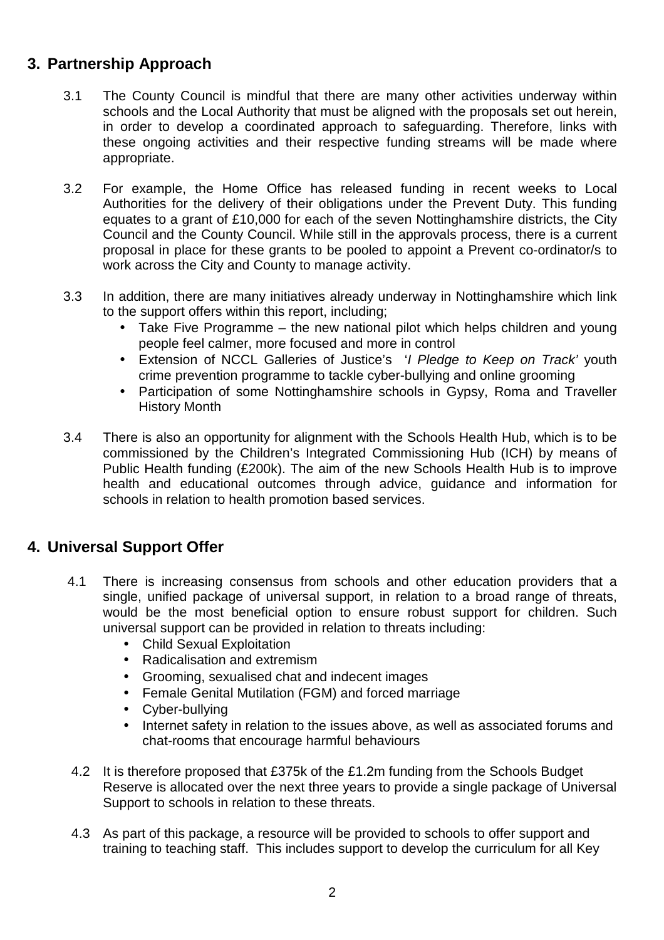# **3. Partnership Approach**

- 3.1 The County Council is mindful that there are many other activities underway within schools and the Local Authority that must be aligned with the proposals set out herein, in order to develop a coordinated approach to safeguarding. Therefore, links with these ongoing activities and their respective funding streams will be made where appropriate.
- 3.2 For example, the Home Office has released funding in recent weeks to Local Authorities for the delivery of their obligations under the Prevent Duty. This funding equates to a grant of £10,000 for each of the seven Nottinghamshire districts, the City Council and the County Council. While still in the approvals process, there is a current proposal in place for these grants to be pooled to appoint a Prevent co-ordinator/s to work across the City and County to manage activity.
- 3.3 In addition, there are many initiatives already underway in Nottinghamshire which link to the support offers within this report, including;
	- Take Five Programme the new national pilot which helps children and young people feel calmer, more focused and more in control
	- Extension of NCCL Galleries of Justice's 'I Pledge to Keep on Track' youth crime prevention programme to tackle cyber-bullying and online grooming
	- Participation of some Nottinghamshire schools in Gypsy, Roma and Traveller History Month
- 3.4 There is also an opportunity for alignment with the Schools Health Hub, which is to be commissioned by the Children's Integrated Commissioning Hub (ICH) by means of Public Health funding (£200k). The aim of the new Schools Health Hub is to improve health and educational outcomes through advice, guidance and information for schools in relation to health promotion based services.

#### **4. Universal Support Offer**

- 4.1 There is increasing consensus from schools and other education providers that a single, unified package of universal support, in relation to a broad range of threats, would be the most beneficial option to ensure robust support for children. Such universal support can be provided in relation to threats including:
	- Child Sexual Exploitation
	- Radicalisation and extremism
	- Grooming, sexualised chat and indecent images
	- Female Genital Mutilation (FGM) and forced marriage
	- Cyber-bullying
	- Internet safety in relation to the issues above, as well as associated forums and chat-rooms that encourage harmful behaviours
- 4.2 It is therefore proposed that £375k of the £1.2m funding from the Schools Budget Reserve is allocated over the next three years to provide a single package of Universal Support to schools in relation to these threats.
- 4.3 As part of this package, a resource will be provided to schools to offer support and training to teaching staff. This includes support to develop the curriculum for all Key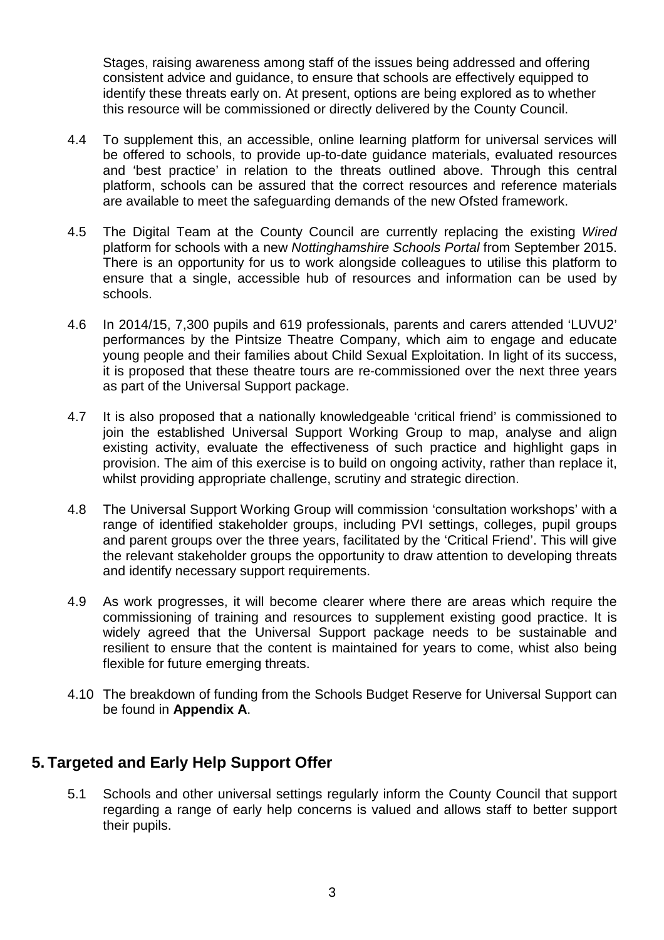Stages, raising awareness among staff of the issues being addressed and offering consistent advice and guidance, to ensure that schools are effectively equipped to identify these threats early on. At present, options are being explored as to whether this resource will be commissioned or directly delivered by the County Council.

- 4.4 To supplement this, an accessible, online learning platform for universal services will be offered to schools, to provide up-to-date guidance materials, evaluated resources and 'best practice' in relation to the threats outlined above. Through this central platform, schools can be assured that the correct resources and reference materials are available to meet the safeguarding demands of the new Ofsted framework.
- 4.5 The Digital Team at the County Council are currently replacing the existing Wired platform for schools with a new Nottinghamshire Schools Portal from September 2015. There is an opportunity for us to work alongside colleagues to utilise this platform to ensure that a single, accessible hub of resources and information can be used by schools.
- 4.6 In 2014/15, 7,300 pupils and 619 professionals, parents and carers attended 'LUVU2' performances by the Pintsize Theatre Company, which aim to engage and educate young people and their families about Child Sexual Exploitation. In light of its success, it is proposed that these theatre tours are re-commissioned over the next three years as part of the Universal Support package.
- 4.7 It is also proposed that a nationally knowledgeable 'critical friend' is commissioned to join the established Universal Support Working Group to map, analyse and align existing activity, evaluate the effectiveness of such practice and highlight gaps in provision. The aim of this exercise is to build on ongoing activity, rather than replace it, whilst providing appropriate challenge, scrutiny and strategic direction.
- 4.8 The Universal Support Working Group will commission 'consultation workshops' with a range of identified stakeholder groups, including PVI settings, colleges, pupil groups and parent groups over the three years, facilitated by the 'Critical Friend'. This will give the relevant stakeholder groups the opportunity to draw attention to developing threats and identify necessary support requirements.
- 4.9 As work progresses, it will become clearer where there are areas which require the commissioning of training and resources to supplement existing good practice. It is widely agreed that the Universal Support package needs to be sustainable and resilient to ensure that the content is maintained for years to come, whist also being flexible for future emerging threats.
- 4.10 The breakdown of funding from the Schools Budget Reserve for Universal Support can be found in **Appendix A**.

## **5. Targeted and Early Help Support Offer**

5.1 Schools and other universal settings regularly inform the County Council that support regarding a range of early help concerns is valued and allows staff to better support their pupils.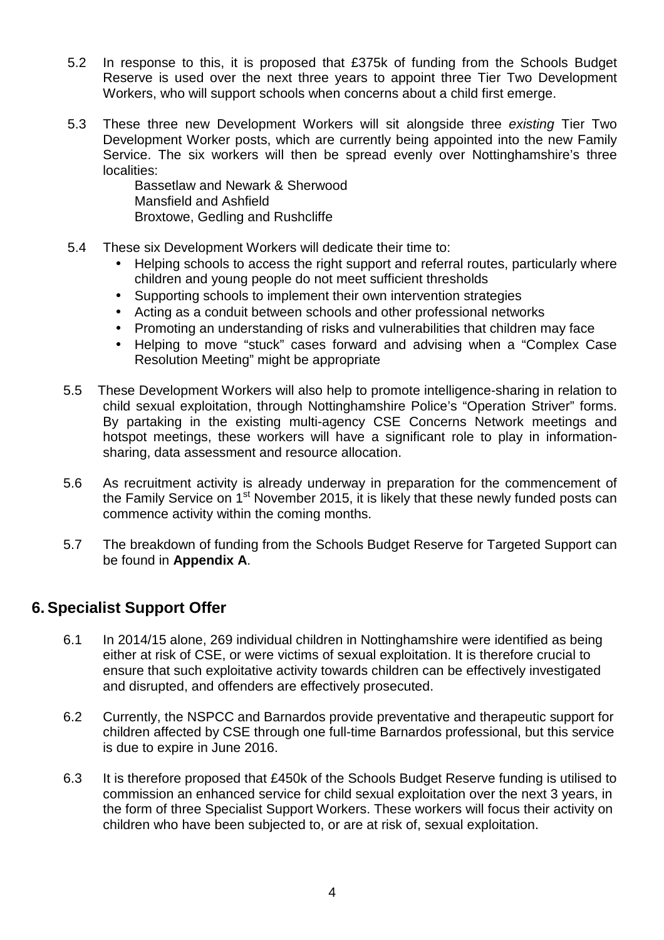- 5.2 In response to this, it is proposed that £375k of funding from the Schools Budget Reserve is used over the next three years to appoint three Tier Two Development Workers, who will support schools when concerns about a child first emerge.
- 5.3 These three new Development Workers will sit alongside three existing Tier Two Development Worker posts, which are currently being appointed into the new Family Service. The six workers will then be spread evenly over Nottinghamshire's three localities:

Bassetlaw and Newark & Sherwood Mansfield and Ashfield Broxtowe, Gedling and Rushcliffe

- 5.4 These six Development Workers will dedicate their time to:
	- Helping schools to access the right support and referral routes, particularly where children and young people do not meet sufficient thresholds
	- Supporting schools to implement their own intervention strategies
	- Acting as a conduit between schools and other professional networks
	- Promoting an understanding of risks and vulnerabilities that children may face
	- Helping to move "stuck" cases forward and advising when a "Complex Case Resolution Meeting" might be appropriate
- 5.5 These Development Workers will also help to promote intelligence-sharing in relation to child sexual exploitation, through Nottinghamshire Police's "Operation Striver" forms. By partaking in the existing multi-agency CSE Concerns Network meetings and hotspot meetings, these workers will have a significant role to play in informationsharing, data assessment and resource allocation.
- 5.6 As recruitment activity is already underway in preparation for the commencement of the Family Service on 1<sup>st</sup> November 2015, it is likely that these newly funded posts can commence activity within the coming months.
- 5.7 The breakdown of funding from the Schools Budget Reserve for Targeted Support can be found in **Appendix A**.

## **6. Specialist Support Offer**

- 6.1 In 2014/15 alone, 269 individual children in Nottinghamshire were identified as being either at risk of CSE, or were victims of sexual exploitation. It is therefore crucial to ensure that such exploitative activity towards children can be effectively investigated and disrupted, and offenders are effectively prosecuted.
- 6.2 Currently, the NSPCC and Barnardos provide preventative and therapeutic support for children affected by CSE through one full-time Barnardos professional, but this service is due to expire in June 2016.
- 6.3 It is therefore proposed that £450k of the Schools Budget Reserve funding is utilised to commission an enhanced service for child sexual exploitation over the next 3 years, in the form of three Specialist Support Workers. These workers will focus their activity on children who have been subjected to, or are at risk of, sexual exploitation.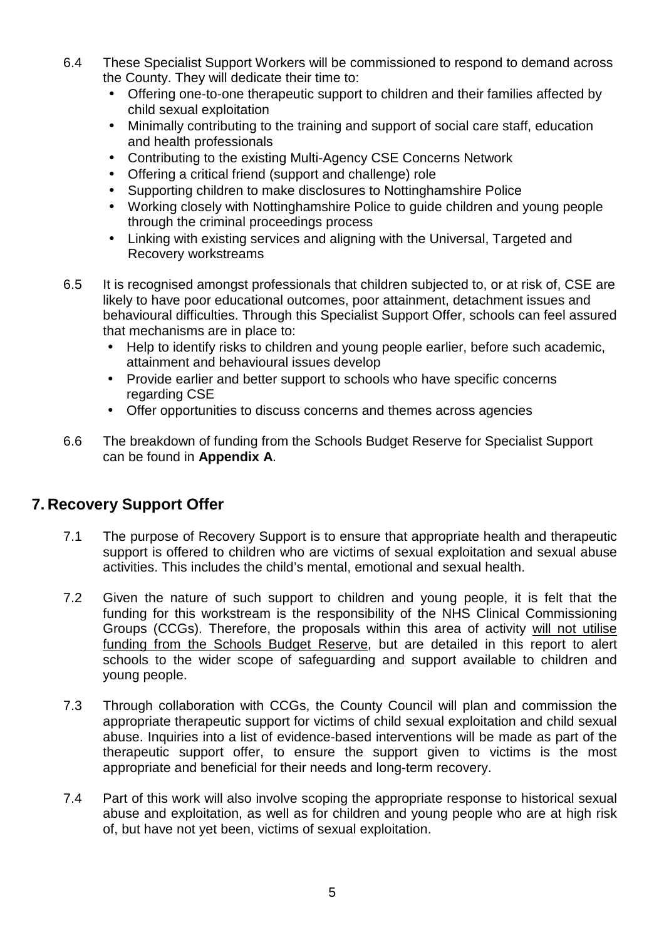- 6.4 These Specialist Support Workers will be commissioned to respond to demand across the County. They will dedicate their time to:
	- Offering one-to-one therapeutic support to children and their families affected by child sexual exploitation
	- Minimally contributing to the training and support of social care staff, education and health professionals
	- Contributing to the existing Multi-Agency CSE Concerns Network
	- Offering a critical friend (support and challenge) role
	- Supporting children to make disclosures to Nottinghamshire Police
	- Working closely with Nottinghamshire Police to guide children and young people through the criminal proceedings process
	- Linking with existing services and aligning with the Universal. Targeted and Recovery workstreams
- 6.5 It is recognised amongst professionals that children subjected to, or at risk of, CSE are likely to have poor educational outcomes, poor attainment, detachment issues and behavioural difficulties. Through this Specialist Support Offer, schools can feel assured that mechanisms are in place to:
	- Help to identify risks to children and young people earlier, before such academic, attainment and behavioural issues develop
	- Provide earlier and better support to schools who have specific concerns regarding CSE
	- Offer opportunities to discuss concerns and themes across agencies
- 6.6 The breakdown of funding from the Schools Budget Reserve for Specialist Support can be found in **Appendix A**.

## **7. Recovery Support Offer**

- 7.1 The purpose of Recovery Support is to ensure that appropriate health and therapeutic support is offered to children who are victims of sexual exploitation and sexual abuse activities. This includes the child's mental, emotional and sexual health.
- 7.2 Given the nature of such support to children and young people, it is felt that the funding for this workstream is the responsibility of the NHS Clinical Commissioning Groups (CCGs). Therefore, the proposals within this area of activity will not utilise funding from the Schools Budget Reserve, but are detailed in this report to alert schools to the wider scope of safeguarding and support available to children and young people.
- 7.3 Through collaboration with CCGs, the County Council will plan and commission the appropriate therapeutic support for victims of child sexual exploitation and child sexual abuse. Inquiries into a list of evidence-based interventions will be made as part of the therapeutic support offer, to ensure the support given to victims is the most appropriate and beneficial for their needs and long-term recovery.
- 7.4 Part of this work will also involve scoping the appropriate response to historical sexual abuse and exploitation, as well as for children and young people who are at high risk of, but have not yet been, victims of sexual exploitation.